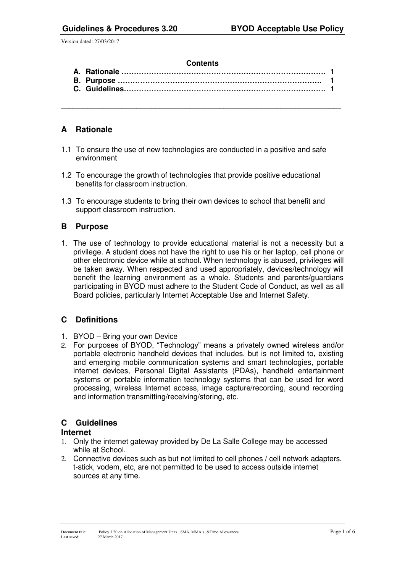#### **Contents**

\_\_\_\_\_\_\_\_\_\_\_\_\_\_\_\_\_\_\_\_\_\_\_\_\_\_\_\_\_\_\_\_\_\_\_\_\_\_\_\_\_\_\_\_\_\_\_\_\_\_\_\_\_\_\_\_\_\_\_\_\_\_\_\_\_\_\_\_\_\_\_\_\_\_

# **A Rationale**

- 1.1 To ensure the use of new technologies are conducted in a positive and safe environment
- 1.2 To encourage the growth of technologies that provide positive educational benefits for classroom instruction.
- 1.3 To encourage students to bring their own devices to school that benefit and support classroom instruction.

# **B Purpose**

1. The use of technology to provide educational material is not a necessity but a privilege. A student does not have the right to use his or her laptop, cell phone or other electronic device while at school. When technology is abused, privileges will be taken away. When respected and used appropriately, devices/technology will benefit the learning environment as a whole. Students and parents/guardians participating in BYOD must adhere to the Student Code of Conduct, as well as all Board policies, particularly Internet Acceptable Use and Internet Safety.

# **C Definitions**

- 1. BYOD Bring your own Device
- 2. For purposes of BYOD, "Technology" means a privately owned wireless and/or portable electronic handheld devices that includes, but is not limited to, existing and emerging mobile communication systems and smart technologies, portable internet devices, Personal Digital Assistants (PDAs), handheld entertainment systems or portable information technology systems that can be used for word processing, wireless Internet access, image capture/recording, sound recording and information transmitting/receiving/storing, etc.

# **C Guidelines**

## **Internet**

- 1. Only the internet gateway provided by De La Salle College may be accessed while at School.
- 2. Connective devices such as but not limited to cell phones / cell network adapters, t-stick, vodem, etc, are not permitted to be used to access outside internet sources at any time.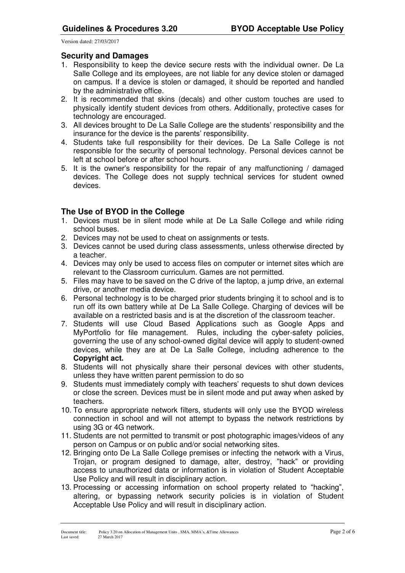## **Security and Damages**

- 1. Responsibility to keep the device secure rests with the individual owner. De La Salle College and its employees, are not liable for any device stolen or damaged on campus. If a device is stolen or damaged, it should be reported and handled by the administrative office.
- 2. It is recommended that skins (decals) and other custom touches are used to physically identify student devices from others. Additionally, protective cases for technology are encouraged.
- 3. All devices brought to De La Salle College are the students' responsibility and the insurance for the device is the parents' responsibility.
- 4. Students take full responsibility for their devices. De La Salle College is not responsible for the security of personal technology. Personal devices cannot be left at school before or after school hours.
- 5. It is the owner's responsibility for the repair of any malfunctioning / damaged devices. The College does not supply technical services for student owned devices.

# **The Use of BYOD in the College**

- 1. Devices must be in silent mode while at De La Salle College and while riding school buses.
- 2. Devices may not be used to cheat on assignments or tests.
- 3. Devices cannot be used during class assessments, unless otherwise directed by a teacher.
- 4. Devices may only be used to access files on computer or internet sites which are relevant to the Classroom curriculum. Games are not permitted.
- 5. Files may have to be saved on the C drive of the laptop, a jump drive, an external drive, or another media device.
- 6. Personal technology is to be charged prior students bringing it to school and is to run off its own battery while at De La Salle College. Charging of devices will be available on a restricted basis and is at the discretion of the classroom teacher.
- 7. Students will use Cloud Based Applications such as Google Apps and MyPortfolio for file management. Rules, including the cyber-safety policies, governing the use of any school-owned digital device will apply to student-owned devices, while they are at De La Salle College, including adherence to the **Copyright act.**
- 8. Students will not physically share their personal devices with other students, unless they have written parent permission to do so
- 9. Students must immediately comply with teachers' requests to shut down devices or close the screen. Devices must be in silent mode and put away when asked by teachers.
- 10. To ensure appropriate network filters, students will only use the BYOD wireless connection in school and will not attempt to bypass the network restrictions by using 3G or 4G network.
- 11. Students are not permitted to transmit or post photographic images/videos of any person on Campus or on public and/or social networking sites.
- 12. Bringing onto De La Salle College premises or infecting the network with a Virus, Trojan, or program designed to damage, alter, destroy, "hack" or providing access to unauthorized data or information is in violation of Student Acceptable Use Policy and will result in disciplinary action.
- 13. Processing or accessing information on school property related to "hacking", altering, or bypassing network security policies is in violation of Student Acceptable Use Policy and will result in disciplinary action.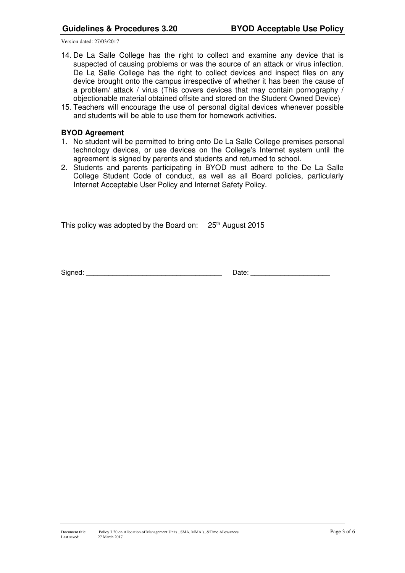- 14. De La Salle College has the right to collect and examine any device that is suspected of causing problems or was the source of an attack or virus infection. De La Salle College has the right to collect devices and inspect files on any device brought onto the campus irrespective of whether it has been the cause of a problem/ attack / virus (This covers devices that may contain pornography / objectionable material obtained offsite and stored on the Student Owned Device)
- 15. Teachers will encourage the use of personal digital devices whenever possible and students will be able to use them for homework activities.

#### **BYOD Agreement**

- 1. No student will be permitted to bring onto De La Salle College premises personal technology devices, or use devices on the College's Internet system until the agreement is signed by parents and students and returned to school.
- 2. Students and parents participating in BYOD must adhere to the De La Salle College Student Code of conduct, as well as all Board policies, particularly Internet Acceptable User Policy and Internet Safety Policy.

This policy was adopted by the Board on: 25<sup>th</sup> August 2015

Signed: \_\_\_\_\_\_\_\_\_\_\_\_\_\_\_\_\_\_\_\_\_\_\_\_\_\_\_\_\_\_\_\_\_\_\_\_ Date: \_\_\_\_\_\_\_\_\_\_\_\_\_\_\_\_\_\_\_\_\_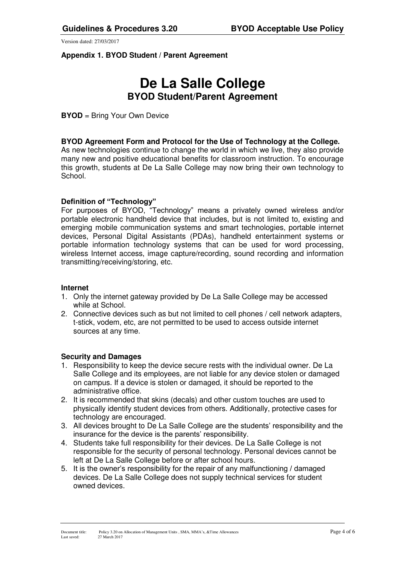## **Appendix 1. BYOD Student / Parent Agreement**

# **De La Salle College BYOD Student/Parent Agreement**

**BYOD** = Bring Your Own Device

### **BYOD Agreement Form and Protocol for the Use of Technology at the College.**

As new technologies continue to change the world in which we live, they also provide many new and positive educational benefits for classroom instruction. To encourage this growth, students at De La Salle College may now bring their own technology to School.

#### **Definition of "Technology"**

For purposes of BYOD, "Technology" means a privately owned wireless and/or portable electronic handheld device that includes, but is not limited to, existing and emerging mobile communication systems and smart technologies, portable internet devices, Personal Digital Assistants (PDAs), handheld entertainment systems or portable information technology systems that can be used for word processing, wireless Internet access, image capture/recording, sound recording and information transmitting/receiving/storing, etc.

## **Internet**

- 1. Only the internet gateway provided by De La Salle College may be accessed while at School.
- 2. Connective devices such as but not limited to cell phones / cell network adapters, t-stick, vodem, etc, are not permitted to be used to access outside internet sources at any time.

#### **Security and Damages**

- 1. Responsibility to keep the device secure rests with the individual owner. De La Salle College and its employees, are not liable for any device stolen or damaged on campus. If a device is stolen or damaged, it should be reported to the administrative office.
- 2. It is recommended that skins (decals) and other custom touches are used to physically identify student devices from others. Additionally, protective cases for technology are encouraged.
- 3. All devices brought to De La Salle College are the students' responsibility and the insurance for the device is the parents' responsibility.
- 4. Students take full responsibility for their devices. De La Salle College is not responsible for the security of personal technology. Personal devices cannot be left at De La Salle College before or after school hours.
- 5. It is the owner's responsibility for the repair of any malfunctioning / damaged devices. De La Salle College does not supply technical services for student owned devices.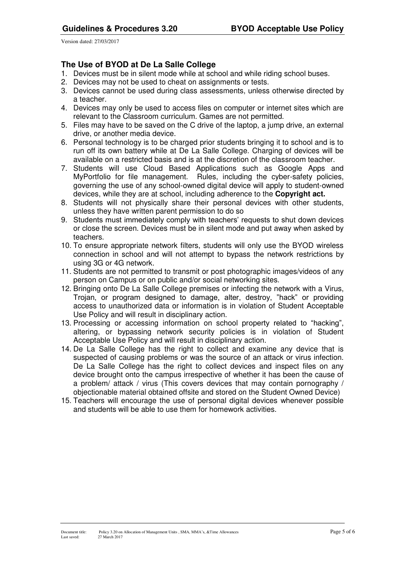# **The Use of BYOD at De La Salle College**

- 1. Devices must be in silent mode while at school and while riding school buses.
- 2. Devices may not be used to cheat on assignments or tests.
- 3. Devices cannot be used during class assessments, unless otherwise directed by a teacher.
- 4. Devices may only be used to access files on computer or internet sites which are relevant to the Classroom curriculum. Games are not permitted.
- 5. Files may have to be saved on the C drive of the laptop, a jump drive, an external drive, or another media device.
- 6. Personal technology is to be charged prior students bringing it to school and is to run off its own battery while at De La Salle College. Charging of devices will be available on a restricted basis and is at the discretion of the classroom teacher.
- 7. Students will use Cloud Based Applications such as Google Apps and MyPortfolio for file management. Rules, including the cyber-safety policies, governing the use of any school-owned digital device will apply to student-owned devices, while they are at school, including adherence to the **Copyright act.**
- 8. Students will not physically share their personal devices with other students, unless they have written parent permission to do so
- 9. Students must immediately comply with teachers' requests to shut down devices or close the screen. Devices must be in silent mode and put away when asked by teachers.
- 10. To ensure appropriate network filters, students will only use the BYOD wireless connection in school and will not attempt to bypass the network restrictions by using 3G or 4G network.
- 11. Students are not permitted to transmit or post photographic images/videos of any person on Campus or on public and/or social networking sites.
- 12. Bringing onto De La Salle College premises or infecting the network with a Virus, Trojan, or program designed to damage, alter, destroy, "hack" or providing access to unauthorized data or information is in violation of Student Acceptable Use Policy and will result in disciplinary action.
- 13. Processing or accessing information on school property related to "hacking", altering, or bypassing network security policies is in violation of Student Acceptable Use Policy and will result in disciplinary action.
- 14. De La Salle College has the right to collect and examine any device that is suspected of causing problems or was the source of an attack or virus infection. De La Salle College has the right to collect devices and inspect files on any device brought onto the campus irrespective of whether it has been the cause of a problem/ attack / virus (This covers devices that may contain pornography / objectionable material obtained offsite and stored on the Student Owned Device)
- 15. Teachers will encourage the use of personal digital devices whenever possible and students will be able to use them for homework activities.